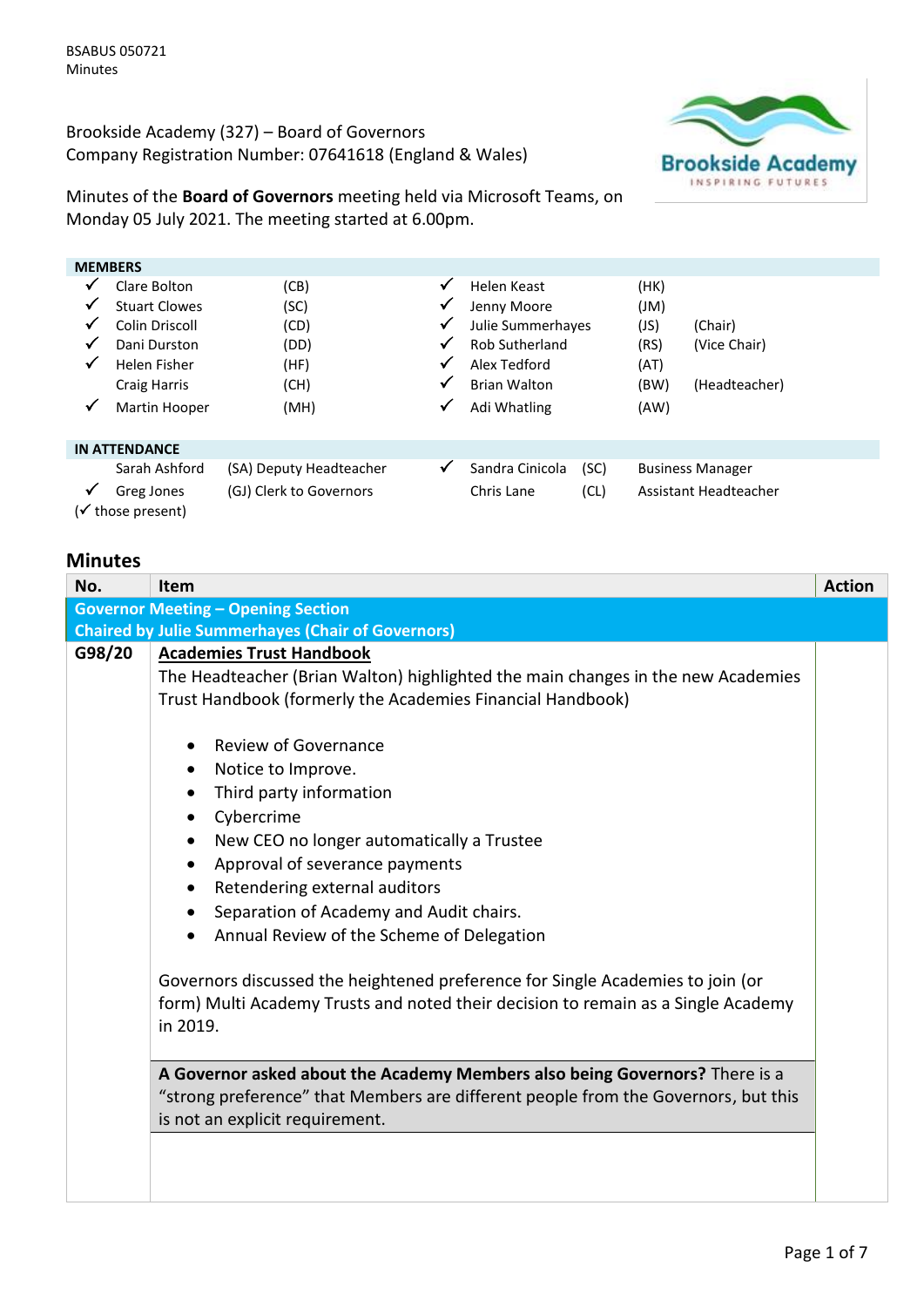Brookside Academy (327) – Board of Governors Company Registration Number: 07641618 (England & Wales)



Minutes of the **Board of Governors** meeting held via Microsoft Teams, on Monday 05 July 2021. The meeting started at 6.00pm.

| <b>MEMBERS</b> |                                 |                         |              |                       |      |      |                         |
|----------------|---------------------------------|-------------------------|--------------|-----------------------|------|------|-------------------------|
| $\checkmark$   | Clare Bolton                    | (CB)                    | $\checkmark$ | Helen Keast           |      | (HK) |                         |
|                | <b>Stuart Clowes</b>            | (SC)                    | ✓            | Jenny Moore           |      | (Ml) |                         |
| ✔              | Colin Driscoll                  | (CD)                    | $\checkmark$ | Julie Summerhayes     |      | (JS) | (Chair)                 |
| $\checkmark$   | Dani Durston                    | (DD)                    | √            | <b>Rob Sutherland</b> |      | (RS) | (Vice Chair)            |
| $\checkmark$   | Helen Fisher                    | (HF)                    | √            | Alex Tedford          |      | (AT) |                         |
|                | Craig Harris                    | (CH)                    | $\checkmark$ | <b>Brian Walton</b>   |      | (BW) | (Headteacher)           |
| $\checkmark$   | Martin Hooper                   | (MH)                    | √            | Adi Whatling          |      | (AW) |                         |
|                | <b>IN ATTENDANCE</b>            |                         |              |                       |      |      |                         |
|                | Sarah Ashford                   | (SA) Deputy Headteacher | $\checkmark$ | Sandra Cinicola       | (SC) |      | <b>Business Manager</b> |
| ✔              | Greg Jones<br>(√ those present) | (GJ) Clerk to Governors |              | Chris Lane            | (CL) |      | Assistant Headteacher   |

## **Minutes**

| No.    | Item                                                                                                                                                                                                                                                                                                                                                                                                                                                                                                                                                                                                                                                                                                                                | <b>Action</b> |
|--------|-------------------------------------------------------------------------------------------------------------------------------------------------------------------------------------------------------------------------------------------------------------------------------------------------------------------------------------------------------------------------------------------------------------------------------------------------------------------------------------------------------------------------------------------------------------------------------------------------------------------------------------------------------------------------------------------------------------------------------------|---------------|
|        | <b>Governor Meeting - Opening Section</b>                                                                                                                                                                                                                                                                                                                                                                                                                                                                                                                                                                                                                                                                                           |               |
|        | <b>Chaired by Julie Summerhayes (Chair of Governors)</b>                                                                                                                                                                                                                                                                                                                                                                                                                                                                                                                                                                                                                                                                            |               |
| G98/20 | <b>Academies Trust Handbook</b><br>The Headteacher (Brian Walton) highlighted the main changes in the new Academies<br>Trust Handbook (formerly the Academies Financial Handbook)<br><b>Review of Governance</b><br>Notice to Improve.<br>$\bullet$<br>Third party information<br>$\bullet$<br>Cybercrime<br>$\bullet$<br>New CEO no longer automatically a Trustee<br>$\bullet$<br>Approval of severance payments<br>٠<br>Retendering external auditors<br>Separation of Academy and Audit chairs.<br>Annual Review of the Scheme of Delegation<br>Governors discussed the heightened preference for Single Academies to join (or<br>form) Multi Academy Trusts and noted their decision to remain as a Single Academy<br>in 2019. |               |
|        | A Governor asked about the Academy Members also being Governors? There is a<br>"strong preference" that Members are different people from the Governors, but this<br>is not an explicit requirement.                                                                                                                                                                                                                                                                                                                                                                                                                                                                                                                                |               |
|        |                                                                                                                                                                                                                                                                                                                                                                                                                                                                                                                                                                                                                                                                                                                                     |               |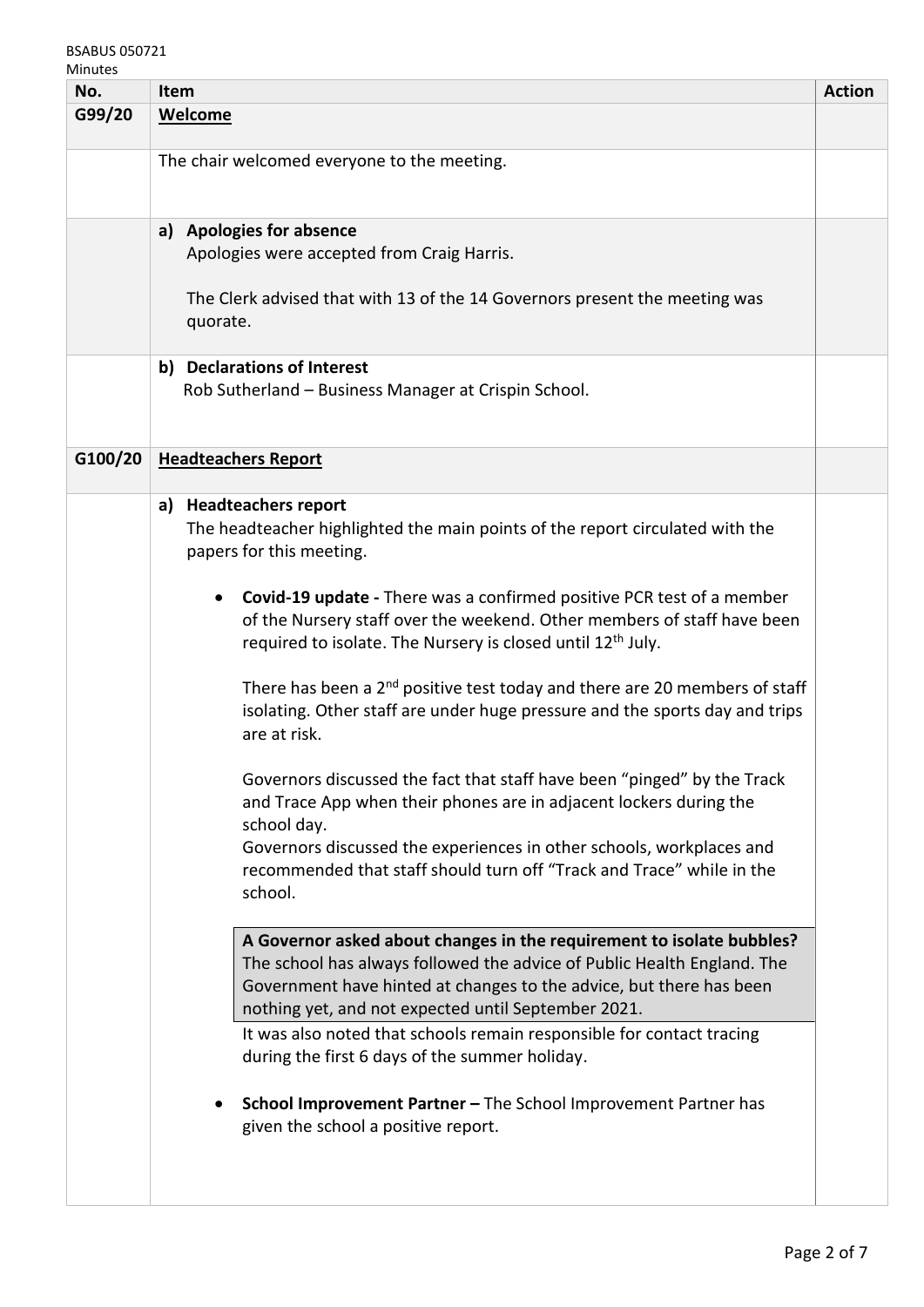## BSABUS 050721

| No.     | Item                                                                                                                                                                                                                                                                           | <b>Action</b> |
|---------|--------------------------------------------------------------------------------------------------------------------------------------------------------------------------------------------------------------------------------------------------------------------------------|---------------|
| G99/20  | <b>Welcome</b>                                                                                                                                                                                                                                                                 |               |
|         | The chair welcomed everyone to the meeting.                                                                                                                                                                                                                                    |               |
|         | a) Apologies for absence<br>Apologies were accepted from Craig Harris.                                                                                                                                                                                                         |               |
|         | The Clerk advised that with 13 of the 14 Governors present the meeting was<br>quorate.                                                                                                                                                                                         |               |
|         | b) Declarations of Interest<br>Rob Sutherland - Business Manager at Crispin School.                                                                                                                                                                                            |               |
| G100/20 | <b>Headteachers Report</b>                                                                                                                                                                                                                                                     |               |
|         | a) Headteachers report<br>The headteacher highlighted the main points of the report circulated with the<br>papers for this meeting.                                                                                                                                            |               |
|         | Covid-19 update - There was a confirmed positive PCR test of a member<br>of the Nursery staff over the weekend. Other members of staff have been<br>required to isolate. The Nursery is closed until 12 <sup>th</sup> July.                                                    |               |
|         | There has been a 2 <sup>nd</sup> positive test today and there are 20 members of staff<br>isolating. Other staff are under huge pressure and the sports day and trips<br>are at risk.                                                                                          |               |
|         | Governors discussed the fact that staff have been "pinged" by the Track<br>and Trace App when their phones are in adjacent lockers during the<br>school day.                                                                                                                   |               |
|         | Governors discussed the experiences in other schools, workplaces and<br>recommended that staff should turn off "Track and Trace" while in the<br>school.                                                                                                                       |               |
|         | A Governor asked about changes in the requirement to isolate bubbles?<br>The school has always followed the advice of Public Health England. The<br>Government have hinted at changes to the advice, but there has been<br>nothing yet, and not expected until September 2021. |               |
|         | It was also noted that schools remain responsible for contact tracing<br>during the first 6 days of the summer holiday.                                                                                                                                                        |               |
|         | School Improvement Partner - The School Improvement Partner has<br>given the school a positive report.                                                                                                                                                                         |               |
|         |                                                                                                                                                                                                                                                                                |               |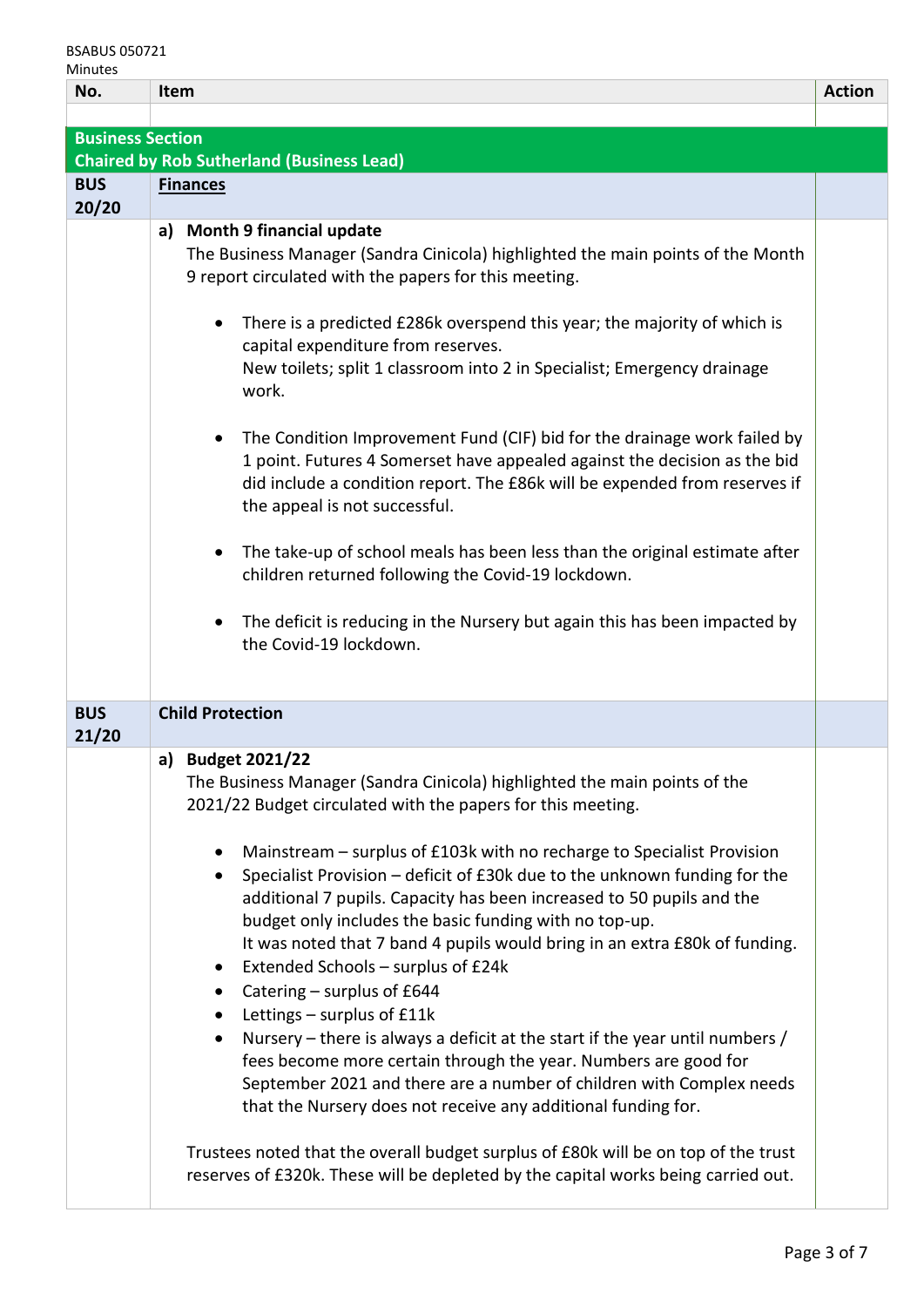| <b>BSABUS 050721</b><br>Minutes |                                                                                                                                                                                                                                                                                                                                                                                                                                                                                     |               |
|---------------------------------|-------------------------------------------------------------------------------------------------------------------------------------------------------------------------------------------------------------------------------------------------------------------------------------------------------------------------------------------------------------------------------------------------------------------------------------------------------------------------------------|---------------|
| No.                             | Item                                                                                                                                                                                                                                                                                                                                                                                                                                                                                | <b>Action</b> |
|                                 |                                                                                                                                                                                                                                                                                                                                                                                                                                                                                     |               |
| <b>Business Section</b>         |                                                                                                                                                                                                                                                                                                                                                                                                                                                                                     |               |
|                                 | <b>Chaired by Rob Sutherland (Business Lead)</b>                                                                                                                                                                                                                                                                                                                                                                                                                                    |               |
| <b>BUS</b>                      | <b>Finances</b>                                                                                                                                                                                                                                                                                                                                                                                                                                                                     |               |
| 20/20                           | a) Month 9 financial update                                                                                                                                                                                                                                                                                                                                                                                                                                                         |               |
|                                 | The Business Manager (Sandra Cinicola) highlighted the main points of the Month<br>9 report circulated with the papers for this meeting.                                                                                                                                                                                                                                                                                                                                            |               |
|                                 | There is a predicted £286k overspend this year; the majority of which is<br>capital expenditure from reserves.<br>New toilets; split 1 classroom into 2 in Specialist; Emergency drainage                                                                                                                                                                                                                                                                                           |               |
|                                 | work.                                                                                                                                                                                                                                                                                                                                                                                                                                                                               |               |
|                                 | The Condition Improvement Fund (CIF) bid for the drainage work failed by<br>1 point. Futures 4 Somerset have appealed against the decision as the bid<br>did include a condition report. The £86k will be expended from reserves if<br>the appeal is not successful.                                                                                                                                                                                                                |               |
|                                 | The take-up of school meals has been less than the original estimate after<br>children returned following the Covid-19 lockdown.                                                                                                                                                                                                                                                                                                                                                    |               |
|                                 | The deficit is reducing in the Nursery but again this has been impacted by<br>the Covid-19 lockdown.                                                                                                                                                                                                                                                                                                                                                                                |               |
| <b>BUS</b><br>21/20             | <b>Child Protection</b>                                                                                                                                                                                                                                                                                                                                                                                                                                                             |               |
|                                 | a) Budget 2021/22<br>The Business Manager (Sandra Cinicola) highlighted the main points of the<br>2021/22 Budget circulated with the papers for this meeting.                                                                                                                                                                                                                                                                                                                       |               |
|                                 | Mainstream – surplus of £103k with no recharge to Specialist Provision<br>Specialist Provision - deficit of £30k due to the unknown funding for the<br>$\bullet$<br>additional 7 pupils. Capacity has been increased to 50 pupils and the<br>budget only includes the basic funding with no top-up.<br>It was noted that 7 band 4 pupils would bring in an extra £80k of funding.<br>Extended Schools - surplus of £24k<br>Catering - surplus of £644<br>Lettings - surplus of £11k |               |

| • Nursery – there is always a deficit at the start if the year until numbers / |
|--------------------------------------------------------------------------------|
| fees become more certain through the year. Numbers are good for                |
| September 2021 and there are a number of children with Complex needs           |
| that the Nursery does not receive any additional funding for.                  |

Trustees noted that the overall budget surplus of £80k will be on top of the trust reserves of £320k. These will be depleted by the capital works being carried out.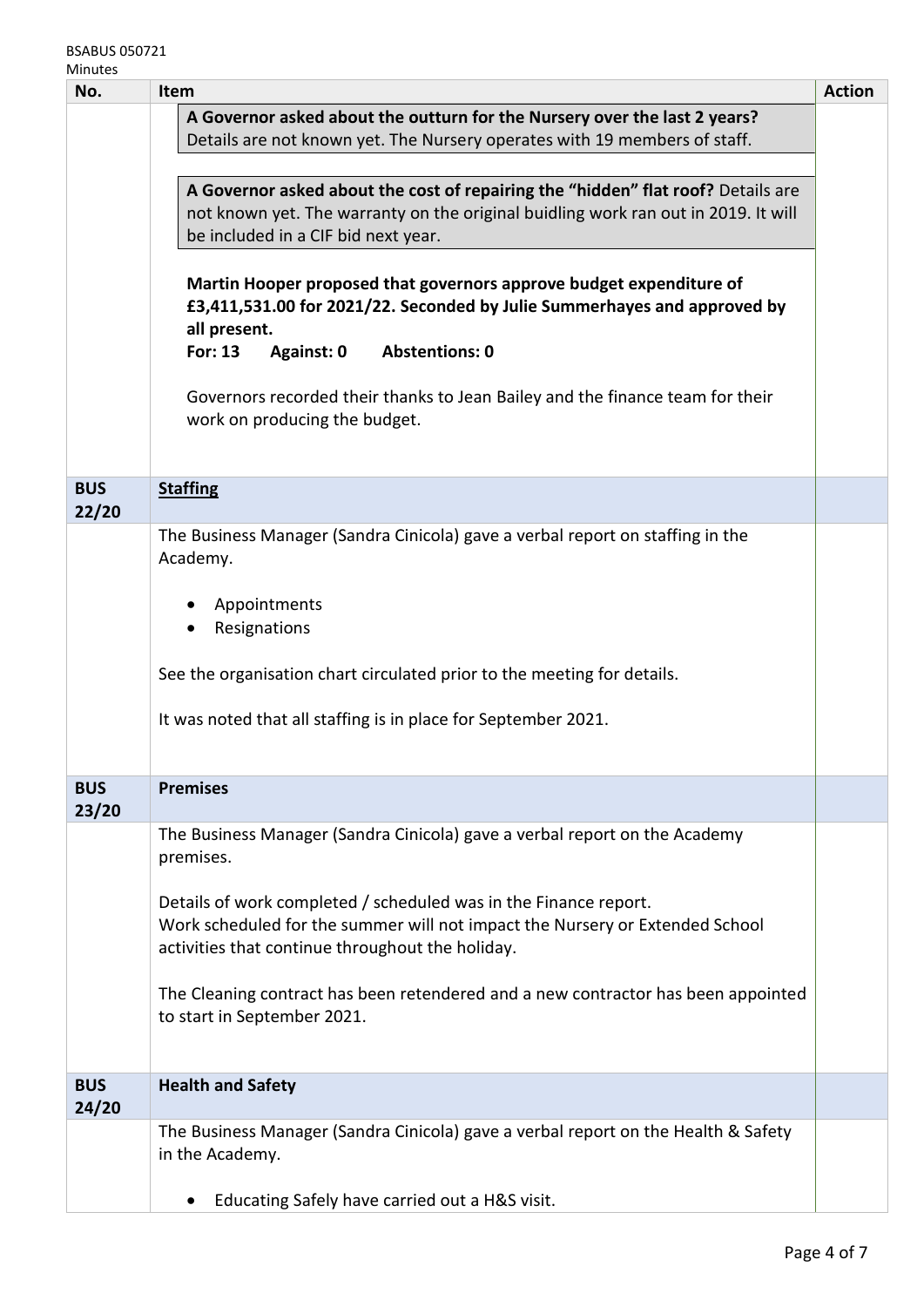| No.        | Item                                                                                                  | <b>Action</b> |  |
|------------|-------------------------------------------------------------------------------------------------------|---------------|--|
|            | A Governor asked about the outturn for the Nursery over the last 2 years?                             |               |  |
|            | Details are not known yet. The Nursery operates with 19 members of staff.                             |               |  |
|            |                                                                                                       |               |  |
|            | A Governor asked about the cost of repairing the "hidden" flat roof? Details are                      |               |  |
|            | not known yet. The warranty on the original buidling work ran out in 2019. It will                    |               |  |
|            | be included in a CIF bid next year.                                                                   |               |  |
|            | Martin Hooper proposed that governors approve budget expenditure of                                   |               |  |
|            | £3,411,531.00 for 2021/22. Seconded by Julie Summerhayes and approved by                              |               |  |
|            | all present.                                                                                          |               |  |
|            | <b>Abstentions: 0</b><br>For: 13<br>Against: 0                                                        |               |  |
|            |                                                                                                       |               |  |
|            | Governors recorded their thanks to Jean Bailey and the finance team for their                         |               |  |
|            | work on producing the budget.                                                                         |               |  |
|            |                                                                                                       |               |  |
| <b>BUS</b> | <b>Staffing</b>                                                                                       |               |  |
| 22/20      |                                                                                                       |               |  |
|            | The Business Manager (Sandra Cinicola) gave a verbal report on staffing in the                        |               |  |
|            | Academy.                                                                                              |               |  |
|            |                                                                                                       |               |  |
|            | Appointments                                                                                          |               |  |
|            | Resignations                                                                                          |               |  |
|            |                                                                                                       |               |  |
|            | See the organisation chart circulated prior to the meeting for details.                               |               |  |
|            | It was noted that all staffing is in place for September 2021.                                        |               |  |
|            |                                                                                                       |               |  |
|            |                                                                                                       |               |  |
| <b>BUS</b> | <b>Premises</b>                                                                                       |               |  |
| 23/20      |                                                                                                       |               |  |
|            | The Business Manager (Sandra Cinicola) gave a verbal report on the Academy                            |               |  |
|            | premises.                                                                                             |               |  |
|            | Details of work completed / scheduled was in the Finance report.                                      |               |  |
|            | Work scheduled for the summer will not impact the Nursery or Extended School                          |               |  |
|            | activities that continue throughout the holiday.                                                      |               |  |
|            |                                                                                                       |               |  |
|            | The Cleaning contract has been retendered and a new contractor has been appointed                     |               |  |
|            | to start in September 2021.                                                                           |               |  |
|            |                                                                                                       |               |  |
|            |                                                                                                       |               |  |
| <b>BUS</b> | <b>Health and Safety</b>                                                                              |               |  |
| 24/20      |                                                                                                       |               |  |
|            | The Business Manager (Sandra Cinicola) gave a verbal report on the Health & Safety<br>in the Academy. |               |  |
|            |                                                                                                       |               |  |
|            | Educating Safely have carried out a H&S visit.<br>$\bullet$                                           |               |  |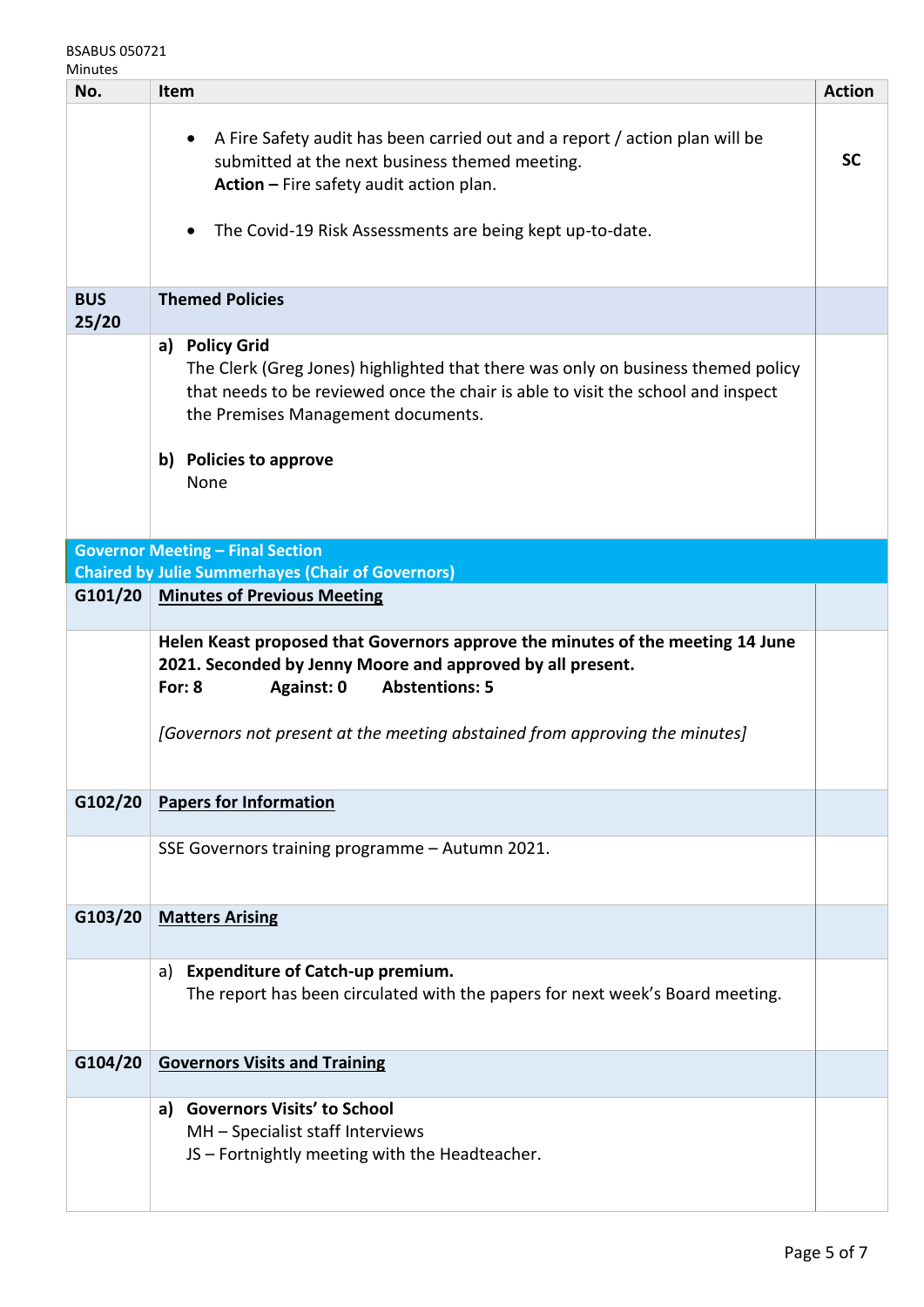## BSABUS 050721

| Mınut |  |
|-------|--|
|-------|--|

| No.                 | Item                                                                                                                                                                                                                                                                           | <b>Action</b> |
|---------------------|--------------------------------------------------------------------------------------------------------------------------------------------------------------------------------------------------------------------------------------------------------------------------------|---------------|
|                     | A Fire Safety audit has been carried out and a report / action plan will be<br>$\bullet$<br>submitted at the next business themed meeting.<br>Action - Fire safety audit action plan.<br>The Covid-19 Risk Assessments are being kept up-to-date.<br>$\bullet$                 | <b>SC</b>     |
| <b>BUS</b><br>25/20 | <b>Themed Policies</b>                                                                                                                                                                                                                                                         |               |
|                     | a) Policy Grid<br>The Clerk (Greg Jones) highlighted that there was only on business themed policy<br>that needs to be reviewed once the chair is able to visit the school and inspect<br>the Premises Management documents.<br>b) Policies to approve<br>None                 |               |
|                     | <b>Governor Meeting - Final Section</b>                                                                                                                                                                                                                                        |               |
|                     | <b>Chaired by Julie Summerhayes (Chair of Governors)</b>                                                                                                                                                                                                                       |               |
| G101/20             | <b>Minutes of Previous Meeting</b>                                                                                                                                                                                                                                             |               |
|                     | Helen Keast proposed that Governors approve the minutes of the meeting 14 June<br>2021. Seconded by Jenny Moore and approved by all present.<br>For: $8$<br>Against: 0<br><b>Abstentions: 5</b><br>[Governors not present at the meeting abstained from approving the minutes] |               |
| G102/20             | <b>Papers for Information</b>                                                                                                                                                                                                                                                  |               |
|                     | SSE Governors training programme - Autumn 2021.                                                                                                                                                                                                                                |               |
| G103/20             | <b>Matters Arising</b>                                                                                                                                                                                                                                                         |               |
|                     | <b>Expenditure of Catch-up premium.</b><br>a)<br>The report has been circulated with the papers for next week's Board meeting.                                                                                                                                                 |               |
| G104/20             | <b>Governors Visits and Training</b>                                                                                                                                                                                                                                           |               |
|                     | a) Governors Visits' to School<br>MH - Specialist staff Interviews<br>JS - Fortnightly meeting with the Headteacher.                                                                                                                                                           |               |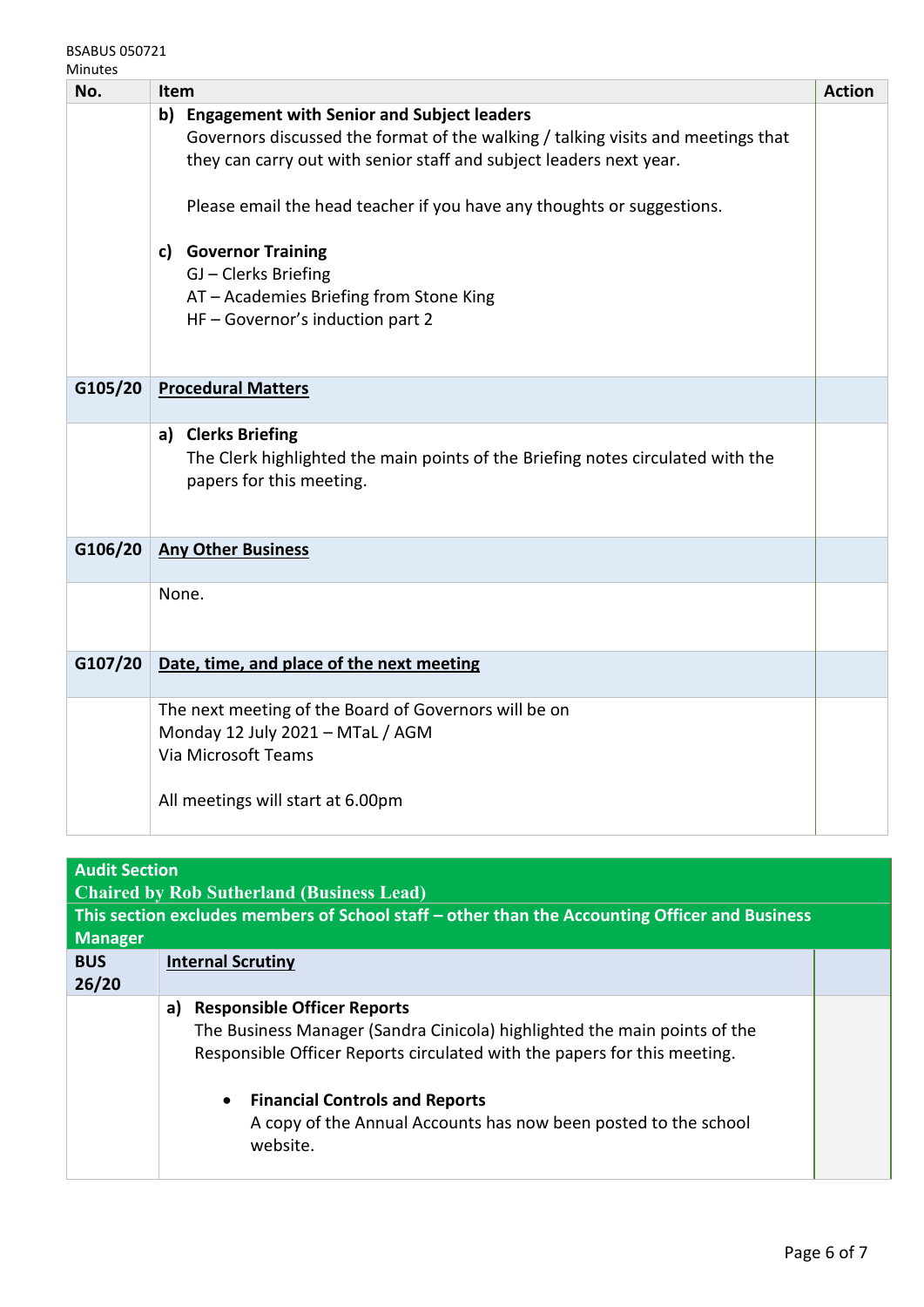BSABUS 050721 Minutes

| iviinutes |                                                                                                                                                                                                                                                                                                            |               |
|-----------|------------------------------------------------------------------------------------------------------------------------------------------------------------------------------------------------------------------------------------------------------------------------------------------------------------|---------------|
| No.       | Item                                                                                                                                                                                                                                                                                                       | <b>Action</b> |
|           | b) Engagement with Senior and Subject leaders<br>Governors discussed the format of the walking / talking visits and meetings that<br>they can carry out with senior staff and subject leaders next year.<br>Please email the head teacher if you have any thoughts or suggestions.<br>c) Governor Training |               |
|           | GJ - Clerks Briefing<br>AT - Academies Briefing from Stone King<br>HF - Governor's induction part 2                                                                                                                                                                                                        |               |
| G105/20   | <b>Procedural Matters</b>                                                                                                                                                                                                                                                                                  |               |
|           | a) Clerks Briefing<br>The Clerk highlighted the main points of the Briefing notes circulated with the<br>papers for this meeting.                                                                                                                                                                          |               |
| G106/20   | <b>Any Other Business</b>                                                                                                                                                                                                                                                                                  |               |
|           | None.                                                                                                                                                                                                                                                                                                      |               |
| G107/20   | Date, time, and place of the next meeting                                                                                                                                                                                                                                                                  |               |
|           | The next meeting of the Board of Governors will be on<br>Monday 12 July 2021 - MTaL / AGM<br>Via Microsoft Teams<br>All meetings will start at 6.00pm                                                                                                                                                      |               |
|           |                                                                                                                                                                                                                                                                                                            |               |

| <b>Audit Section</b><br><b>Chaired by Rob Sutherland (Business Lead)</b> |                                                                                                                                                                                                                                                                                                                                        |  |  |  |
|--------------------------------------------------------------------------|----------------------------------------------------------------------------------------------------------------------------------------------------------------------------------------------------------------------------------------------------------------------------------------------------------------------------------------|--|--|--|
| <b>Manager</b>                                                           | This section excludes members of School staff – other than the Accounting Officer and Business                                                                                                                                                                                                                                         |  |  |  |
| <b>BUS</b><br>26/20                                                      | <b>Internal Scrutiny</b>                                                                                                                                                                                                                                                                                                               |  |  |  |
|                                                                          | <b>Responsible Officer Reports</b><br>a)<br>The Business Manager (Sandra Cinicola) highlighted the main points of the<br>Responsible Officer Reports circulated with the papers for this meeting.<br><b>Financial Controls and Reports</b><br>$\bullet$<br>A copy of the Annual Accounts has now been posted to the school<br>website. |  |  |  |